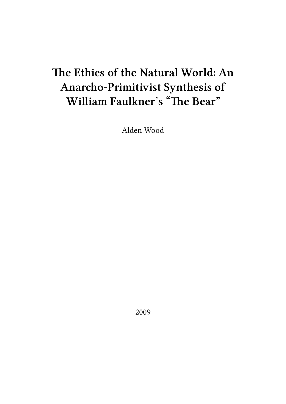## **The Ethics of the Natural World: An Anarcho-Primitivist Synthesis of William Faulkner's "The Bear"**

Alden Wood

2009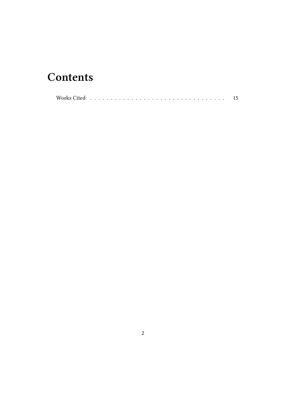## **Contents**

|--|--|--|--|--|--|--|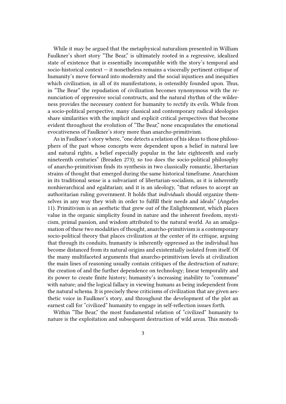While it may be argued that the metaphysical naturalism presented in William Faulkner's short story "The Bear," is ultimately rooted in a regressive, idealized state of existence that is essentially incompatible with the story's temporal and socio-historical context — it nonetheless remains a viscerally pertinent critique of humanity's move forward into modernity and the social injustices and inequities which civilization, in all of its manifestations, is ostensibly founded upon. Thus, in "The Bear" the repudiation of civilization becomes synonymous with the renunciation of oppressive social constructs, and the natural rhythm of the wilderness provides the necessary context for humanity to rectify its evils. While from a socio-political perspective, many classical and contemporary radical ideologies share similarities with the implicit and explicit critical perspectives that become evident throughout the evolution of "The Bear," none encapsulates the emotional evocativeness of Faulkner's story more than anarcho-primitivism.

As in Faulkner's story where, "one detects a relation of his ideas to those philosophers of the past whose concepts were dependent upon a belief in natural law and natural rights, a belief especially popular in the late eighteenth and early nineteenth centuries" (Breaden 273); so too does the socio-political philosophy of anarcho-primitivism finds its synthesis in two classically romantic, libertarian strains of thought that emerged during the same historical timeframe. Anarchism in its traditional sense is a subvariant of libertarian-socialism, as it is inherently nonhierarchical and egalitarian; and it is an ideology, "that refuses to accept an authoritarian ruling government. It holds that *individuals* should organize themselves in any way they wish in order to fulfill their needs and ideals" (Angeles 11). Primitivism is an aesthetic that grew out of the Enlightenment, which places value in the organic simplicity found in nature and the inherent freedom, mysticism, primal passion, and wisdom attributed to the natural world. As an amalgamation of these two modalities of thought, anarcho-primitivism is a contemporary socio-political theory that places civilization at the center of its critique, arguing that through its conduits, humanity is inherently oppressed as the individual has become distanced from its natural origins and existentially isolated from itself. Of the many multifaceted arguments that anarcho-primitivism levels at civilization the main lines of reasoning usually contain critiques of the destruction of nature; the creation of and the further dependence on technology; linear temporality and its power to create finite history; humanity's increasing inability to "commune" with nature; and the logical fallacy in viewing humans as being independent from the natural schema. It is precisely these criticisms of civilization that are given aesthetic voice in Faulkner's story, and throughout the development of the plot an earnest call for "civilized" humanity to engage in self-reflection issues forth.

Within "The Bear," the most fundamental relation of "civilized" humanity to nature is the exploitation and subsequent destruction of wild areas. This monodi-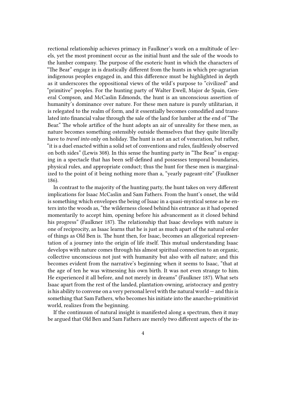rectional relationship achieves primacy in Faulkner's work on a multitude of levels, yet the most prominent occur as the initial hunt and the sale of the woods to the lumber company. The purpose of the esoteric hunt in which the characters of "The Bear" engage in is drastically different from the hunts in which pre-agrarian indigenous peoples engaged in, and this difference must be highlighted in depth as it underscores the oppositional views of the wild's purpose to "civilized" and "primitive" peoples. For the hunting party of Walter Ewell, Major de Spain, General Compson, and McCaslin Edmonds, the hunt is an unconscious assertion of humanity's dominance over nature. For these men nature is purely utilitarian, it is relegated to the realm of form, and it essentially becomes comodified and translated into financial value through the sale of the land for lumber at the end of "The Bear." The whole artifice of the hunt adopts an air of unreality for these men, as nature becomes something ostensibly outside themselves that they quite literally have to *travel into* only on holiday. The hunt is not an act of veneration, but rather, "it is a duel enacted within a solid set of conventions and rules, faultlessly observed on both sides" (Lewis 308). In this sense the hunting party in "The Bear" is engaging in a spectacle that has been self-defined and possesses temporal boundaries, physical rules, and appropriate conduct; thus the hunt for these men is marginalized to the point of it being nothing more than a, "yearly pageant-rite" (Faulkner 186).

In contrast to the majority of the hunting party, the hunt takes on very different implications for Isaac McCaslin and Sam Fathers. From the hunt's onset, the wild is something which envelopes the being of Isaac in a quasi-mystical sense as he enters into the woods as, "the wilderness closed behind his entrance as it had opened momentarily to accept him, opening before his advancement as it closed behind his progress" (Faulkner 187). The relationship that Isaac develops with nature is one of reciprocity, as Isaac learns that he is just as much apart of the natural order of things as Old Ben is. The hunt then, for Isaac, becomes an allegorical representation of a journey into the origin of life itself. This mutual understanding Isaac develops with nature comes through his almost spiritual connection to an organic, collective unconscious not just with humanity but also with *all* nature; and this becomes evident from the narrative's beginning when it seems to Isaac, "that at the age of ten he was witnessing his own birth. It was not even strange to him. He experienced it all before, and not merely in dreams" (Faulkner 187). What sets Isaac apart from the rest of the landed, plantation-owning, aristocracy and gentry is his ability to convene on a very personal level with the natural world — and this is something that Sam Fathers, who becomes his initiate into the anarcho-primitivist world, realizes from the beginning.

If the continuum of natural insight is manifested along a spectrum, then it may be argued that Old Ben and Sam Fathers are merely two different aspects of the in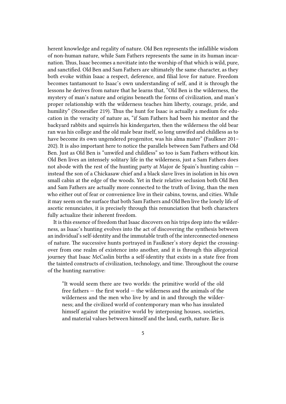herent knowledge and regality of nature. Old Ben represents the infallible wisdom of non-human nature, while Sam Fathers represents the same in its human incarnation. Thus, Isaac becomes a novitiate into the worship of that which is wild, pure, and sanctified. Old Ben and Sam Fathers are ultimately the same character, as they both evoke within Isaac a respect, deference, and filial love for nature. Freedom becomes tantamount to Isaac's own understanding of self, and it is through the lessons he derives from nature that he learns that, "Old Ben is the wilderness, the mystery of man's nature and origins beneath the forms of civilization, and man's proper relationship with the wilderness teaches him liberty, courage, pride, and humility" (Stonesifier 219). Thus the hunt for Isaac is actually a medium for education in the veracity of nature as, "if Sam Fathers had been his mentor and the backyard rabbits and squirrels his kindergarten, then the wilderness the old bear ran was his college and the old male bear itself, so long unwifed and childless as to have become its own ungendered progenitor, was his alma mater" (Faulkner 201– 202). It is also important here to notice the parallels between Sam Fathers and Old Ben. Just as Old Ben is "unwifed and childless" so too is Sam Fathers without kin. Old Ben lives an intensely solitary life in the wilderness, just a Sam Fathers does not abode with the rest of the hunting party at Major de Spain's hunting cabin instead the son of a Chickasaw chief and a black slave lives in isolation in his own small cabin at the edge of the woods. Yet in their relative seclusion both Old Ben and Sam Fathers are actually more connected to the truth of living, than the men who either out of fear or convenience live in their cabins, towns, and cities. While it may seem on the surface that both Sam Fathers and Old Ben live the lonely life of ascetic renunciates, it is precisely through this renunciation that both characters fully actualize their inherent freedom.

It is this essence of freedom that Isaac discovers on his trips deep into the wilderness, as Isaac's hunting evolves into the act of discovering the synthesis between an individual's self-identity and the immutable truth of the interconnected oneness of nature. The successive hunts portrayed in Faulkner's story depict the crossingover from one realm of existence into another, and it is through this allegorical journey that Isaac McCaslin births a self-identity that exists in a state free from the tainted constructs of civilization, technology, and time. Throughout the course of the hunting narrative:

"It would seem there are two worlds: the primitive world of the old free fathers — the first world — the wilderness and the animals of the wilderness and the men who live by and in and through the wilderness; and the civilized world of contemporary man who has insulated himself against the primitive world by interposing houses, societies, and material values between himself and the land, earth, nature. Ike is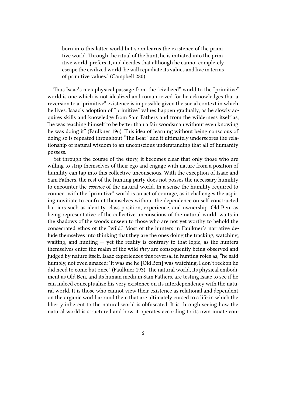born into this latter world but soon learns the existence of the primitive world. Through the ritual of the hunt, he is initiated into the primitive world, prefers it, and decides that although he cannot completely escape the civilized world, he will repudiate its values and live in terms of primitive values." (Campbell 280)

Thus Isaac's metaphysical passage from the "civilized" world to the "primitive" world is one which is not idealized and romanticized for he acknowledges that a reversion to a "primitive" existence is impossible given the social context in which he lives. Isaac's adoption of "primitive" values happen gradually, as he slowly acquires skills and knowledge from Sam Fathers and from the wilderness itself as, "he was teaching himself to be better than a fair woodsman without even knowing he was doing it" (Faulkner 196). This idea of learning without being conscious of doing so is repeated throughout "The Bear" and it ultimately underscores the relationship of natural wisdom to an unconscious understanding that all of humanity possess.

Yet through the course of the story, it becomes clear that only those who are willing to strip themselves of their ego and engage with nature from a position of humility can tap into this collective unconscious. With the exception of Isaac and Sam Fathers, the rest of the hunting party does not posses the necessary humility to encounter the *essence* of the natural world. In a sense the humility required to connect with the "primitive" world is an act of courage, as it challenges the aspiring novitiate to confront themselves without the dependence on self-constructed barriers such as identity, class position, experience, and ownership. Old Ben, as being representative of the collective unconscious of the natural world, waits in the shadows of the woods unseen to those who are not yet worthy to behold the consecrated ethos of the "wild." Most of the hunters in Faulkner's narrative delude themselves into thinking that they are the ones doing the tracking, watching, waiting, and hunting  $-$  yet the reality is contrary to that logic, as the hunters themselves enter the realm of the wild *they* are consequently being observed and judged by nature itself. Isaac experiences this reversal in hunting roles as, "he said humbly, not even amazed: 'It was me he [Old Ben] was watching. I don't reckon he did need to come but once" (Faulkner 193). The natural world, its physical embodiment as Old Ben, and its human medium Sam Fathers, are testing Isaac to see if he can indeed conceptualize his very existence on its interdependency with the natural world. It is those who cannot view their existence as relational and dependent on the organic world around them that are ultimately cursed to a life in which the liberty inherent to the natural world is obfuscated. It is through seeing how the natural world is structured and how it operates according to its own innate con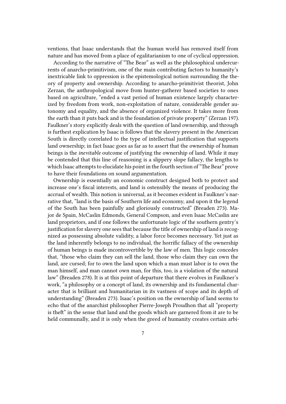ventions, that Isaac understands that the human world has removed itself from nature and has moved from a place of egalitarianism to one of cyclical oppression.

According to the narrative of "The Bear" as well as the philosophical undercurrents of anarcho-primitivism, one of the main contributing factors to humanity's inextricable link to oppression is the epistemological notion surrounding the theory of property and ownership. According to anarcho-primitivist theorist, John Zerzan, the anthropological move from hunter-gatherer based societies to ones based on agriculture, "ended a vast period of human existence largely characterized by freedom from work, non-exploitation of nature, considerable gender autonomy and equality, and the absence of organized violence. It takes more from the earth than it puts back and is the foundation of private property" (Zerzan 197). Faulkner's story explicitly deals with the question of land ownership, and through is furthest explication by Isaac is follows that the slavery present in the American South is directly correlated to the type of intellectual justification that supports land ownership; in fact Isaac goes as far as to assert that the ownership of human beings is the *inevitable* outcome of justifying the ownership of land. While it may be contended that this line of reasoning is a slippery slope fallacy, the lengths to which Isaac attempts to elucidate his point in the fourth section of "The Bear" prove to have their foundations on sound argumentation.

Ownership is essentially an economic construct designed both to protect and increase one's fiscal interests, and land is ostensibly the means of producing the accrual of wealth. This notion is universal, as it becomes evident in Faulkner's narrative that, "land is the basis of Southern life and economy, and upon it the legend of the South has been painfully and gloriously constructed" (Breaden 273). Major de Spain, McCaslin Edmonds, General Compson, and even Isaac McCaslin are land proprietors, and if one follows the unfortunate logic of the southern gentry's justification for slavery one sees that because the title of ownership of land is recognized as possessing absolute validity, a labor force becomes necessary. Yet just as the land inherently belongs to no individual, the horrific fallacy of the ownership of human beings is made incontrovertible by the law of men. This logic concedes that, "those who claim they can sell the land, those who claim they can own the land, are cursed; for to own the land upon which a man must labor is to own the man himself, and man cannot own man, for this, too, is a violation of the natural law" (Breaden 278). It is at this point of departure that there evolves in Faulkner's work, "a philosophy or a concept of land, its ownership and its fundamental character that is brilliant and humanitarian in its vastness of scope and its depth of understanding" (Breaden 273). Isaac's position on the ownership of land seems to echo that of the anarchist philosopher Pierre-Joseph Proudhon that all "property is theft" in the sense that land and the goods which are garnered from it are to be held communally, and it is only when the greed of humanity creates certain arbi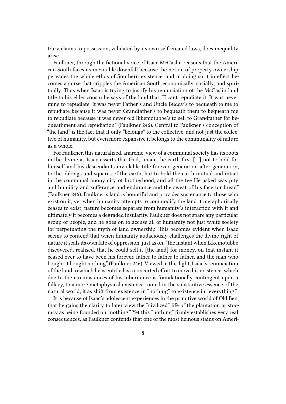trary claims to possession, validated by its own self-created laws, does inequality arise.

Faulkner, through the fictional voice of Isaac McCaslin reasons that the American South faces its inevitable downfall because the notion of property ownership pervades the whole ethos of Southern existence, and in doing so it in effect becomes a curse that cripples the American South economically, socially, and spiritually. Thus when Isaac is trying to justify his renunciation of the McCaslin land title to his elder cousin he says of the land that, "I cant repudiate it. It was never mine to repudiate. It was never Father's and Uncle Buddy's to bequeath to me to repudiate because it was never Grandfather's to bequeath them to bequeath me to repudiate because it was never old Ikkemotubbe's to sell to Grandfather for bequeathment and repudiation" (Faulkner 246). Central to Faulkner's conception of "the land" is the fact that it only "belongs" to the collective, and not just the collective of humanity, but even more expansive it belongs to the communality of nature as a whole.

For Faulkner, this naturalized, anarchic, view of a communal society has its roots in the divine as Isaac asserts that God, "made the earth first […] not to hold for himself and his descendants inviolable title forever, generation after generation, to the oblongs and squares of the earth, but to hold the earth mutual and intact in the communal anonymity of brotherhood, and all the fee He asked was pity and humility and sufferance and endurance and the sweat of his face for bread" (Faulkner 246). Faulkner's land is bountiful and provides sustenance to those who exist on it, yet when humanity attempts to commodify the land it metaphorically ceases to exist; nature becomes separate from humanity's interaction with it and ultimately it becomes a degraded insularity. Faulkner does not spare any particular group of people, and he goes on to accuse all of humanity not just white society for perpetuating the myth of land ownership. This becomes evident when Isaac seems to contend that when humanity audaciously challenges the divine right of nature it seals its own fate of oppression, just as on, "the instant when Ikkemotubbe discovered, realised, that he could sell it [the land] for money, on that instant it ceased ever to have been his forever, father to father to father, and the man who bought it bought nothing" (Faulkner 246). Viewed in this light, Isaac's renunciation of the land to which he is entitled is a concerted effort to move his existence, which due to the circumstances of his inheritance is foundationally contingent upon a fallacy, to a more metaphysical existence rooted in the substantive essence of the natural world; it as shift from existence in "nothing" to existence in "everything."

It is because of Isaac's adolescent experiences in the primitive world of Old Ben, that he gains the clarity to later view the "civilized" life of the plantation aristocracy as being founded on "nothing." Yet this "nothing" firmly establishes very real consequences, as Faulkner contends that one of the most heinous stains on Ameri-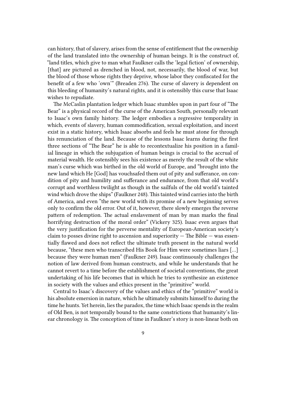can history, that of slavery, arises from the sense of entitlement that the ownership of the land translated into the ownership of human beings. It is the construct of, "land titles, which give to man what Faulkner calls the 'legal fiction' of ownership, [that] are pictured as drenched in blood, not, necessarily, the blood of war, but the blood of those whose rights they deprive, whose labor they confiscated for the benefit of a few who 'own'" (Breaden 276). The curse of slavery is dependent on this bleeding of humanity's natural rights, and it is ostensibly this curse that Isaac wishes to repudiate.

The McCaslin plantation ledger which Isaac stumbles upon in part four of "The Bear" is a physical record of the curse of the American South, personally relevant to Isaac's own family history. The ledger embodies a regressive temporality in which, events of slavery, human commodification, sexual exploitation, and incest exist in a static history, which Isaac absorbs and feels he must atone for through his renunciation of the land. Because of the lessons Isaac learns during the first three sections of "The Bear" he is able to recontextualize his position in a familial lineage in which the subjugation of human beings is crucial to the accrual of material wealth. He ostensibly sees his existence as merely the result of the white man's curse which was birthed in the old world of Europe, and "brought into the new land which He [God] has vouchsafed them out of pity and sufferance, on condition of pity and humility and sufferance and endurance, from that old world's corrupt and worthless twilight as though in the sailfuls of the old world's tainted wind which drove the ships" (Faulkner 248). This tainted wind carries into the birth of America, and even "the new world with its promise of a new beginning serves only to confirm the old error. Out of it, however, there slowly emerges the reverse pattern of redemption. The actual enslavement of man by man marks the final horrifying destruction of the moral order" (Vickery 325). Isaac even argues that the very justification for the perverse mentality of European-American society's claim to posses divine right to ascension and superiority  $-$  The Bible  $-$  was essentially flawed and does not reflect the ultimate truth present in the natural world because, "these men who transcribed His Book for Him were sometimes liars […] because they were human men" (Faulkner 249). Isaac continuously challenges the notion of law derived from human constructs, and while he understands that he cannot revert to a time before the establishment of societal conventions, the great undertaking of his life becomes that in which he tries to synthesize an existence in society with the values and ethics present in the "primitive" world.

Central to Isaac's discovery of the values and ethics of the "primitive" world is his absolute emersion in nature, which he ultimately submits himself to during the time he hunts. Yet herein, lies the paradox, the time which Isaac spends in the realm of Old Ben, is not temporally bound to the same constrictions that humanity's linear chronology is. The conception of time in Faulkner's story is non-linear both on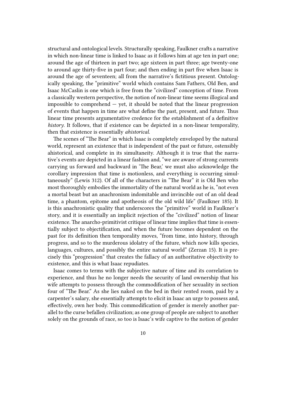structural and ontological levels. Structurally speaking, Faulkner crafts a narrative in which non-linear time is linked to Isaac as it follows him at age ten in part one; around the age of thirteen in part two; age sixteen in part three; age twenty-one to around age thirty-five in part four; and then ending in part five when Isaac is around the age of seventeen; all from the narrative's fictitious present. Ontologically speaking, the "primitive" world which contains Sam Fathers, Old Ben, and Isaac McCaslin is one which is free from the "civilized" conception of time. From a classically western perspective, the notion of non-linear time seems illogical and impossible to comprehend  $-$  yet, it should be noted that the linear progression of events that happen in time are what define the past, present, and future. Thus linear time presents argumentative credence for the establishment of a definitive *history*. It follows, that if existence can be depicted in a non-linear temporality, then that existence is essentially *ahistorical*.

The scenes of "The Bear" in which Isaac is completely enveloped by the natural world, represent an existence that is independent of the past or future, ostensibly ahistorical, and complete in its simultaneity. Although it is true that the narrative's events are depicted in a linear fashion and, "we are aware of strong currents carrying us forward and backward in 'The Bear,' we must also acknowledge the corollary impression that time is motionless, and everything is occurring simultaneously" (Lewis 312). Of all of the characters in "The Bear" it is Old Ben who most thoroughly embodies the immortality of the natural world as he is, "not even a mortal beast but an anachronism indomitable and invincible out of an old dead time, a phantom, epitome and apotheosis of the old wild life" (Faulkner 185). It is this anachronistic quality that underscores the "primitive" world in Faulkner's story, and it is essentially an implicit rejection of the "civilized" notion of linear existence. The anarcho-primitivist critique of linear time implies that time is essentially subject to objectification, and when the future becomes dependent on the past for its definition then temporality moves, "from time, into history, through progress, and so to the murderous idolatry of the future, which now kills species, languages, cultures, and possibly the entire natural world" (Zerzan 15). It is precisely this "progression" that creates the fallacy of an authoritative objectivity to existence, and this is what Isaac repudiates.

Isaac comes to terms with the subjective nature of time and its correlation to experience, and thus he no longer needs the security of land ownership that his wife attempts to possess through the commodification of her sexuality in section four of "The Bear." As she lies naked on the bed in their rented room, paid by a carpenter's salary, she essentially attempts to elicit in Isaac an urge to possess and, effectively, own her body. This commodification of gender is merely another parallel to the curse befallen civilization; as one group of people are subject to another solely on the grounds of race, so too is Isaac's wife captive to the notion of gender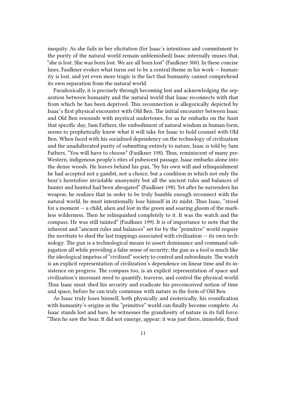inequity. As she fails in her elicitation (for Isaac's intentions and commitment to the purity of the natural world remain unblemished) Isaac internally muses that, "she is lost. She was born lost. We are all born lost" (Faulkner 300). In these concise lines, Faulkner evokes what turns out to be a central theme in his work — humanity is lost, and yet even more tragic is the fact that humanity cannot comprehend its own separation from the natural world.

Paradoxically, it is precisely through becoming lost and acknowledging the separation between humanity and the natural world that Isaac reconnects with that from which he has been deprived. This reconnection is allegorically depicted by Isaac's first physical encounter with Old Ben. The initial encounter between Isaac and Old Ben resounds with mystical undertones, for as he embarks on the hunt that specific day, Sam Fathers, the embodiment of natural wisdom in human form, seems to prophetically know what it will take for Isaac to hold counsel with Old Ben. When faced with his socialized dependency on the technology of civilization and the unadulterated purity of submitting entirely to nature, Isaac is told by Sam Fathers, "You will have to choose" (Faulkner 198). Thus, reminiscent of many pre-Western, indigenous people's rites of pubescent passage, Isaac embarks alone into the dense woods. He leaves behind his gun, "by his own will and relinquishment he had accepted not a gambit, not a choice, but a condition in which not only the bear's heretofore inviolable anonymity but all the ancient rules and balances of hunter and hunted had been abrogated" (Faulkner 198). Yet after he surrenders his weapon, he realizes that in order to be truly humble enough reconnect with the natural world, he must intentionally lose himself in its midst. Thus Isaac, "stood for a moment  $-$  a child, alien and lost in the green and soaring gloom of the markless wilderness. Then he relinquished completely to it. It was the watch and the compass. He was still tainted" (Faulkner 199). It is of importance to note that the inherent and "ancient rules and balances" set for by the "primitive" world require the novitiate to shed the last trappings associated with civilization  $-$  its own technology. The gun is a technological means to assert dominance and command subjugation all while providing a false sense of security; the gun as a tool is much like the ideological impetus of "civilized" society to control and subordinate. The watch is an explicit representation of civilization's dependence on linear time and its insistence on progress. The compass too, is an explicit representation of space and civilization's incessant need to quantify, traverse, and control the physical world. Thus Isaac must shed his security and eradicate his preconceived notion of time and space, before he can truly commune with nature in the form of Old Ben.

As Isaac truly loses himself, both physically and esoterically, his reunification with humanity's origins in the "primitive" world can finally become complete. As Isaac stands lost and bare, he witnesses the grandiosity of nature in its full force: "Then he saw the bear. It did not emerge, appear: it was just there, immobile, fixed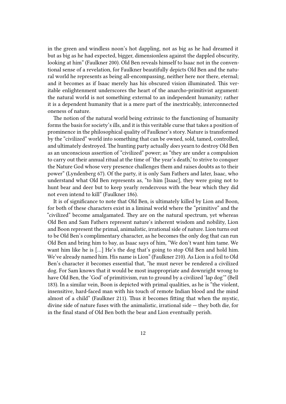in the green and windless noon's hot dappling, not as big as he had dreamed it but as big as he had expected, bigger, dimensionless against the dappled obscurity, looking at him" (Faulkner 200). Old Ben reveals himself to Isaac not in the conventional sense of a revelation, for Faulkner beautifully depicts Old Ben and the natural world he represents as being all-encompassing, neither here nor there, eternal; and it becomes as if Isaac merely has his obscured vision illuminated. This veritable enlightenment underscores the heart of the anarcho-primitivist argument: the natural world is not something external to an independent humanity; rather it is a dependent humanity that is a mere part of the inextricably, interconnected oneness of nature.

The notion of the natural world being extrinsic to the functioning of humanity forms the basis for society's ills, and it is this veritable curse that takes a position of prominence in the philosophical quality of Faulkner's story. Nature is transformed by the "civilized" world into something that can be owned, sold, tamed, controlled, and ultimately destroyed. The hunting party actually *does* yearn to destroy Old Ben as an unconscious assertion of "civilized" power; as "they are under a compulsion to carry out their annual ritual at the time of 'the year's death,' to strive to conquer the Nature God whose very presence challenges them and raises doubts as to their power" (Lyndenberg 67). Of the party, it is only Sam Fathers and later, Isaac, who understand what Old Ben represents as, "to him [Isaac], they were going not to hunt bear and deer but to keep yearly rendezvous with the bear which they did not even intend to kill" (Faulkner 186).

It is of significance to note that Old Ben, is ultimately killed by Lion and Boon, for both of these characters exist in a liminal world where the "primitive" and the "civilized" become amalgamated. They are on the natural spectrum, yet whereas Old Ben and Sam Fathers represent nature's inherent wisdom and nobility, Lion and Boon represent the primal, animalistic, irrational side of nature. Lion turns out to be Old Ben's complimentary character, as he becomes the only dog that can run Old Ben and bring him to bay, as Isaac says of him, "We don't want him tame. We want him like he is […] He's the dog that's going to stop Old Ben and hold him. We've already named him. His name is Lion" (Faulkner 210). As Lion is a foil to Old Ben's character it becomes essential that, "he must never be rendered a civilized dog. For Sam knows that it would be most inappropriate and downright wrong to have Old Ben, the 'God' of primitivism, run to ground by a civilized 'lap dog'" (Bell 183). In a similar vein, Boon is depicted with primal qualities, as he is "the violent, insensitive, hard-faced man with his touch of remote Indian blood and the mind almost of a child" (Faulkner 211). Thus it becomes fitting that when the mystic, divine side of nature fuses with the animalistic, irrational side — they both die, for in the final stand of Old Ben both the bear and Lion eventually perish.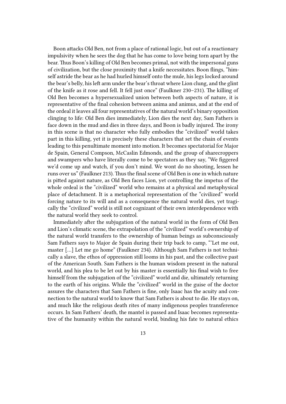Boon attacks Old Ben, not from a place of rational logic, but out of a reactionary impulsivity when he sees the dog that he has come to love being torn apart by the bear. Thus Boon's killing of Old Ben becomes primal, not with the impersonal guns of civilization, but the close proximity that a knife necessitates. Boon flings, "himself astride the bear as he had hurled himself onto the mule, his legs locked around the bear's belly, his left arm under the bear's throat where Lion clung, and the glint of the knife as it rose and fell. It fell just once" (Faulkner 230–231). The killing of Old Ben becomes a hypersexualized union between both aspects of nature, it is representative of the final cohesion between anima and animus, and at the end of the ordeal it leaves all four representatives of the natural world's binary opposition clinging to life: Old Ben dies immediately, Lion dies the next day, Sam Fathers is face down in the mud and dies in three days, and Boon is badly injured. The irony in this scene is that no character who fully embodies the "civilized" world takes part in this killing, yet it is precisely these characters that set the chain of events leading to this penultimate moment into motion. It becomes spectatorial for Major de Spain, General Compson, McCaslin Edmonds, and the group of sharecroppers and swampers who have literally come to be spectators as they say, "We figgered we'd come up and watch, if you don't mind. We wont do no shooting, lessen he runs over us" (Faulkner 213). Thus the final scene of Old Ben is one in which nature is pitted against nature, as Old Ben faces Lion, yet controlling the impetus of the whole ordeal is the "civilized" world who remains at a physical and metaphysical place of detachment. It is a metaphorical representation of the "civilized" world forcing nature to its will and as a consequence the natural world dies, yet tragically the "civilized" world is still not cognizant of their own interdependence with the natural world they seek to control.

Immediately after the subjugation of the natural world in the form of Old Ben and Lion's climatic scene, the extrapolation of the "civilized" world's ownership of the natural world transfers to the ownership of human beings as subconsciously Sam Fathers says to Major de Spain during their trip back to camp, "'Let me out, master […] Let me go home" (Faulkner 234). Although Sam Fathers is not technically a slave, the ethos of oppression still looms in his past, and the collective past of the American South. Sam Fathers is the human wisdom present in the natural world, and his plea to be let out by his master is essentially his final wish to free himself from the subjugation of the "civilized" world and die, ultimately returning to the earth of his origins. While the "civilized" world in the guise of the doctor assures the characters that Sam Fathers is fine, only Isaac has the acuity and connection to the natural world to know that Sam Fathers is about to die. He stays on, and much like the religious death rites of many indigenous peoples transference occurs. In Sam Fathers' death, the mantel is passed and Isaac becomes representative of the humanity within the natural world, binding his fate to natural ethics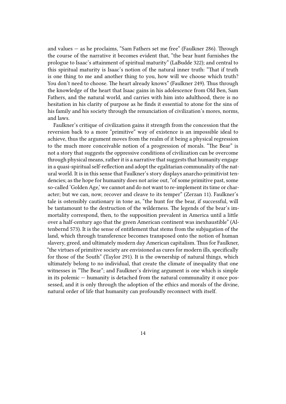and values — as he proclaims, "Sam Fathers set me free" (Faulkner 286). Through the course of the narrative it becomes evident that, "the bear hunt furnishes the prologue to Isaac's attainment of spiritual maturity" (LaBudde 322); and central to this spiritual maturity is Isaac's notion of the natural inner truth: "That if truth is one thing to me and another thing to you, how will we choose which truth? You don't need to choose. The heart already knows" (Faulkner 249). Thus through the knowledge of the heart that Isaac gains in his adolescence from Old Ben, Sam Fathers, and the natural world, and carries with him into adulthood, there is no hesitation in his clarity of purpose as he finds it essential to atone for the sins of his family and his society through the renunciation of civilization's mores, norms, and laws.

Faulkner's critique of civilization gains it strength from the concession that the reversion back to a more "primitive" way of existence is an impossible ideal to achieve, thus the argument moves from the realm of it being a physical regression to the much more conceivable notion of a progression of morals. "The Bear" is not a story that suggests the oppressive conditions of civilization can be overcome through physical means, rather it is a narrative that suggests that humanity engage in a quasi-spiritual self-reflection and adopt the egalitarian communality of the natural world. It is in this sense that Faulkner's story displays anarcho-primitivist tendencies; as the hope for humanity does not arise out, "of some primitive past, some so-called 'Golden Age,' we cannot and do not want to re-implement its time or character; but we can, now, recover and cleave to its temper" (Zerzan 11). Faulkner's tale is ostensibly cautionary in tone as, "the hunt for the bear, if successful, will be tantamount to the destruction of the wilderness. The legends of the bear's immortality correspond, then, to the supposition prevalent in America until a little over a half-century ago that the green American continent was inexhaustible" (Altenbernd 573). It is the sense of entitlement that stems from the subjugation of the land, which through transference becomes transposed onto the notion of human slavery, greed, and ultimately modern day American capitalism. Thus for Faulkner, "the virtues of primitive society are envisioned as cures for modern ills, specifically for those of the South" (Taylor 291). It is the ownership of natural things, which ultimately belong to no individual, that create the climate of inequality that one witnesses in "The Bear"; and Faulkner's driving argument is one which is simple in its polemic — humanity is detached from the natural communality it once possessed, and it is only through the adoption of the ethics and morals of the divine, natural order of life that humanity can profoundly reconnect with itself.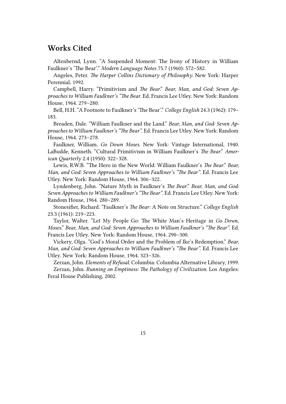## **Works Cited**

Altenbernd, Lynn. "A Suspended Moment: The Irony of History in William Faulkner's 'The Bear'." *Modern Language Notes* 75.7 (1960): 572–582.

Angeles, Peter. *The Harper Collins Dictionary of Philosophy*. New York: Harper Perennial, 1992.

Campbell, Harry. "Primitivism and *The Bear*." *Bear, Man, and God: Seven Approaches to William Faulkner's "The Bear*. Ed. Francis Lee Utley. New York: Random House, 1964. 279–280.

Bell, H.H. "A Footnote to Faulkner's 'The Bear'." *College English* 24.3 (1962): 179– 183.

Breaden, Dale. "William Faulkner and the Land." *Bear, Man, and God: Seven Approaches to William Faulkner's "The Bear"*. Ed. Francis Lee Utley. New York: Random House, 1964. 273–278.

Faulkner, William. *Go Down Moses*. New York: Vintage International, 1940. LaBudde, Kenneth. "Cultural Primitivism in William Faulkner's *The Bear*." *American Quarterly* 2.4 (1950): 322–328.

Lewis, R.W.B. "The Hero in the New World: William Faulkner's *The Bear*." *Bear, Man, and God: Seven Approaches to William Faulkner's "The Bear"*. Ed. Francis Lee Utley. New York: Random House, 1964. 306–322.

Lyndenberg, John. "Nature Myth in Faulkner's *The Bear*." *Bear, Man, and God: Seven Approaches to William Faulkner's "The Bear"*. Ed. Francis Lee Utley. New York: Random House, 1964. 280–289.

Stonesifier, Richard. "Faulkner's *The Bear*: A Note on Structure." *College English* 23.3 (1961): 219–223.

Taylor, Walter. "Let My People Go: The White Man's Heritage in *Go Down, Moses*." *Bear, Man, and God: Seven Approaches to William Faulkner's "The Bear"*. Ed. Francis Lee Utley. New York: Random House, 1964. 290–300.

Vickery, Olga. "God's Moral Order and the Problem of Ike's Redemption." *Bear, Man, and God: Seven Approaches to William Faulkner's "The Bear"*. Ed. Francis Lee Utley. New York: Random House, 1964. 323–326.

Zerzan, John. *Elements of Refusal*. Columbia: Columbia Alternative Library, 1999. Zerzan, John. *Running on Emptiness: The Pathology of Civilization*. Los Angeles:

Feral House Publishing, 2002.